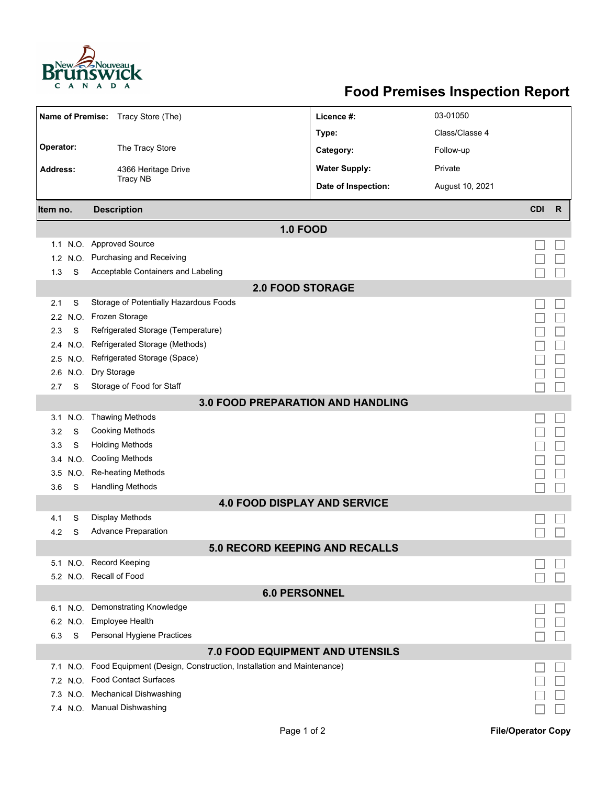

## **Food Premises Inspection Report**

| Name of Premise: Tracy Store (The)       |                                                                          | Licence #:           | 03-01050        |                            |  |  |  |
|------------------------------------------|--------------------------------------------------------------------------|----------------------|-----------------|----------------------------|--|--|--|
|                                          |                                                                          | Type:                | Class/Classe 4  |                            |  |  |  |
| Operator:                                | The Tracy Store                                                          |                      |                 |                            |  |  |  |
|                                          |                                                                          | Category:            | Follow-up       |                            |  |  |  |
| <b>Address:</b>                          | 4366 Heritage Drive<br><b>Tracy NB</b>                                   | <b>Water Supply:</b> | Private         |                            |  |  |  |
|                                          |                                                                          | Date of Inspection:  | August 10, 2021 |                            |  |  |  |
| Item no.                                 | <b>Description</b>                                                       |                      |                 | <b>CDI</b><br>$\mathsf{R}$ |  |  |  |
| <b>1.0 FOOD</b>                          |                                                                          |                      |                 |                            |  |  |  |
| 1.1 N.O.                                 | <b>Approved Source</b>                                                   |                      |                 |                            |  |  |  |
| N.O.<br>1.2                              | <b>Purchasing and Receiving</b>                                          |                      |                 |                            |  |  |  |
| S<br>1.3                                 | Acceptable Containers and Labeling                                       |                      |                 |                            |  |  |  |
| <b>2.0 FOOD STORAGE</b>                  |                                                                          |                      |                 |                            |  |  |  |
| S<br>2.1                                 | Storage of Potentially Hazardous Foods                                   |                      |                 |                            |  |  |  |
| 2.2<br>N.O.                              | Frozen Storage                                                           |                      |                 |                            |  |  |  |
| S<br>2.3                                 | Refrigerated Storage (Temperature)                                       |                      |                 |                            |  |  |  |
| N.O.<br>2.4                              | Refrigerated Storage (Methods)                                           |                      |                 |                            |  |  |  |
| N.O.<br>2.5                              | Refrigerated Storage (Space)                                             |                      |                 |                            |  |  |  |
| N.O.<br>2.6                              | Dry Storage                                                              |                      |                 |                            |  |  |  |
| S<br>2.7                                 | Storage of Food for Staff                                                |                      |                 |                            |  |  |  |
| <b>3.0 FOOD PREPARATION AND HANDLING</b> |                                                                          |                      |                 |                            |  |  |  |
| N.O.<br>3.1                              | <b>Thawing Methods</b>                                                   |                      |                 |                            |  |  |  |
| 3.2<br>S                                 | <b>Cooking Methods</b>                                                   |                      |                 |                            |  |  |  |
| S<br>3.3                                 | <b>Holding Methods</b>                                                   |                      |                 |                            |  |  |  |
| N.O.<br>3.4                              | <b>Cooling Methods</b>                                                   |                      |                 |                            |  |  |  |
| N.O.<br>3.5                              | Re-heating Methods                                                       |                      |                 |                            |  |  |  |
| 3.6<br>S                                 | <b>Handling Methods</b>                                                  |                      |                 |                            |  |  |  |
| <b>4.0 FOOD DISPLAY AND SERVICE</b>      |                                                                          |                      |                 |                            |  |  |  |
| S<br>4.1                                 | <b>Display Methods</b>                                                   |                      |                 |                            |  |  |  |
| 4.2<br>S                                 | <b>Advance Preparation</b>                                               |                      |                 |                            |  |  |  |
| 5.0 RECORD KEEPING AND RECALLS           |                                                                          |                      |                 |                            |  |  |  |
|                                          | 5.1 N.O. Record Keeping                                                  |                      |                 |                            |  |  |  |
|                                          | 5.2 N.O. Recall of Food                                                  |                      |                 |                            |  |  |  |
| <b>6.0 PERSONNEL</b>                     |                                                                          |                      |                 |                            |  |  |  |
| 6.1 N.O.                                 | <b>Demonstrating Knowledge</b>                                           |                      |                 |                            |  |  |  |
| 6.2 N.O.                                 | <b>Employee Health</b>                                                   |                      |                 |                            |  |  |  |
| S<br>6.3                                 | Personal Hygiene Practices                                               |                      |                 |                            |  |  |  |
| <b>7.0 FOOD EQUIPMENT AND UTENSILS</b>   |                                                                          |                      |                 |                            |  |  |  |
| 7.1                                      | N.O. Food Equipment (Design, Construction, Installation and Maintenance) |                      |                 |                            |  |  |  |
|                                          | 7.2 N.O. Food Contact Surfaces                                           |                      |                 |                            |  |  |  |
|                                          | 7.3 N.O. Mechanical Dishwashing                                          |                      |                 |                            |  |  |  |
|                                          | 7.4 N.O. Manual Dishwashing                                              |                      |                 |                            |  |  |  |